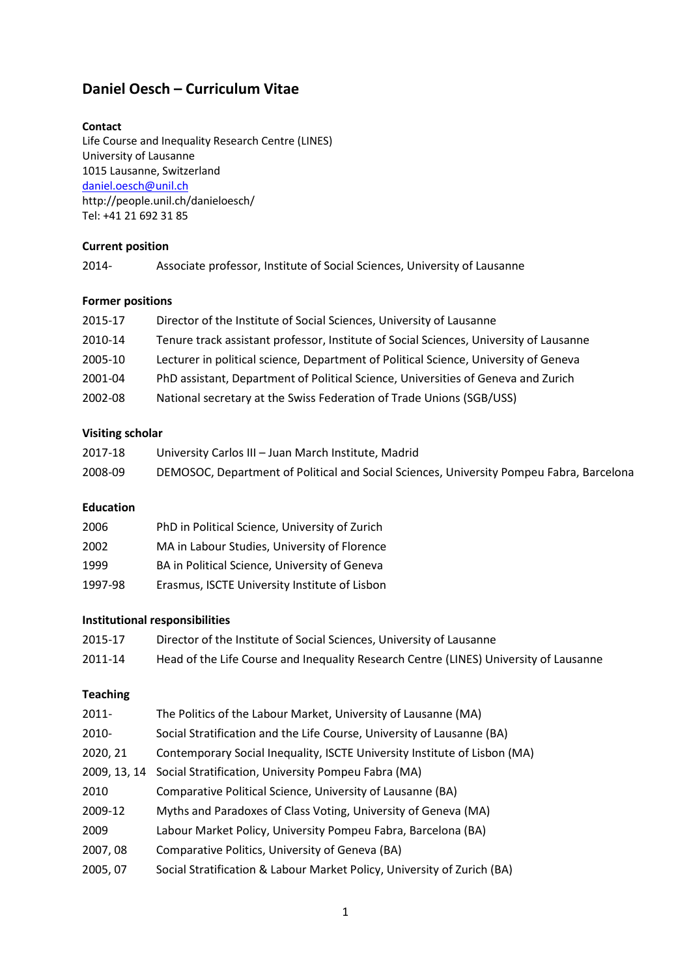# **Daniel Oesch – Curriculum Vitae**

### **Contact**

Life Course and Inequality Research Centre (LINES) University of Lausanne 1015 Lausanne, Switzerland [daniel.oesch@unil.ch](mailto:daniel.oesch@unige.ch) http://people.unil.ch/danieloesch/ Tel: +41 21 692 31 85

## **Current position**

| 2014- | Associate professor, Institute of Social Sciences, University of Lausanne |  |
|-------|---------------------------------------------------------------------------|--|
|       |                                                                           |  |

# **Former positions**

| 2015-17 | Director of the Institute of Social Sciences, University of Lausanne                   |
|---------|----------------------------------------------------------------------------------------|
| 2010-14 | Tenure track assistant professor, Institute of Social Sciences, University of Lausanne |
| 2005-10 | Lecturer in political science, Department of Political Science, University of Geneva   |
| 2001-04 | PhD assistant, Department of Political Science, Universities of Geneva and Zurich      |
| 2002-08 | National secretary at the Swiss Federation of Trade Unions (SGB/USS)                   |

## **Visiting scholar**

| 2017-18 | University Carlos III - Juan March Institute, Madrid                                     |
|---------|------------------------------------------------------------------------------------------|
| 2008-09 | DEMOSOC, Department of Political and Social Sciences, University Pompeu Fabra, Barcelona |

## **Education**

| 2006    | PhD in Political Science, University of Zurich |
|---------|------------------------------------------------|
| 2002    | MA in Labour Studies, University of Florence   |
| 1999    | BA in Political Science, University of Geneva  |
| 1997-98 | Erasmus, ISCTE University Institute of Lisbon  |

## **Institutional responsibilities**

| 2015-17 | Director of the Institute of Social Sciences, University of Lausanne                  |
|---------|---------------------------------------------------------------------------------------|
| 2011-14 | Head of the Life Course and Inequality Research Centre (LINES) University of Lausanne |

# **Teaching**

| 2011-        | The Politics of the Labour Market, University of Lausanne (MA)            |
|--------------|---------------------------------------------------------------------------|
| 2010-        | Social Stratification and the Life Course, University of Lausanne (BA)    |
| 2020, 21     | Contemporary Social Inequality, ISCTE University Institute of Lisbon (MA) |
| 2009, 13, 14 | Social Stratification, University Pompeu Fabra (MA)                       |
| 2010         | Comparative Political Science, University of Lausanne (BA)                |
| 2009-12      | Myths and Paradoxes of Class Voting, University of Geneva (MA)            |
| 2009         | Labour Market Policy, University Pompeu Fabra, Barcelona (BA)             |
| 2007,08      | Comparative Politics, University of Geneva (BA)                           |
| 2005, 07     | Social Stratification & Labour Market Policy, University of Zurich (BA)   |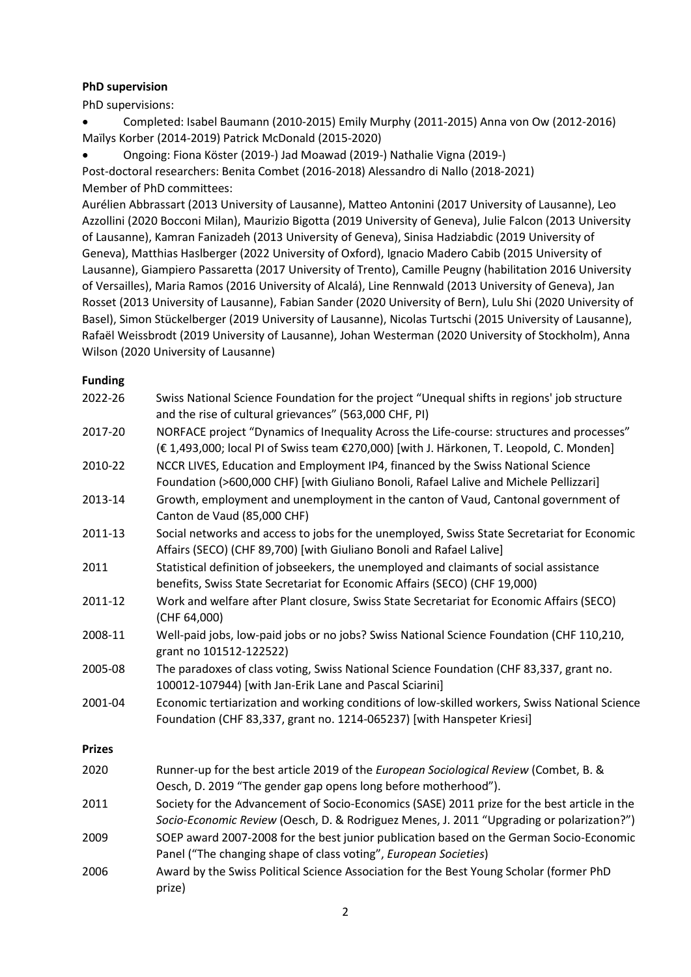# **PhD supervision**

PhD supervisions:

• Completed: Isabel Baumann (2010-2015) Emily Murphy (2011-2015) Anna von Ow (2012-2016) Maïlys Korber (2014-2019) Patrick McDonald (2015-2020)

• Ongoing: Fiona Köster (2019-) Jad Moawad (2019-) Nathalie Vigna (2019-) Post-doctoral researchers: Benita Combet (2016-2018) Alessandro di Nallo (2018-2021) Member of PhD committees:

Aurélien Abbrassart (2013 University of Lausanne), Matteo Antonini (2017 University of Lausanne), Leo Azzollini (2020 Bocconi Milan), Maurizio Bigotta (2019 University of Geneva), Julie Falcon (2013 University of Lausanne), Kamran Fanizadeh (2013 University of Geneva), Sinisa Hadziabdic (2019 University of Geneva), Matthias Haslberger (2022 University of Oxford), Ignacio Madero Cabib (2015 University of Lausanne), Giampiero Passaretta (2017 University of Trento), Camille Peugny (habilitation 2016 University of Versailles), Maria Ramos (2016 University of Alcalá), Line Rennwald (2013 University of Geneva), Jan Rosset (2013 University of Lausanne), Fabian Sander (2020 University of Bern), Lulu Shi (2020 University of Basel), Simon Stückelberger (2019 University of Lausanne), Nicolas Turtschi (2015 University of Lausanne), Rafaël Weissbrodt (2019 University of Lausanne), Johan Westerman (2020 University of Stockholm), Anna Wilson (2020 University of Lausanne)

# **Funding**

| 2022-26       | Swiss National Science Foundation for the project "Unequal shifts in regions' job structure<br>and the rise of cultural grievances" (563,000 CHF, PI)                                     |
|---------------|-------------------------------------------------------------------------------------------------------------------------------------------------------------------------------------------|
| 2017-20       | NORFACE project "Dynamics of Inequality Across the Life-course: structures and processes"<br>(€ 1,493,000; local PI of Swiss team €270,000) [with J. Härkonen, T. Leopold, C. Monden]     |
| 2010-22       | NCCR LIVES, Education and Employment IP4, financed by the Swiss National Science<br>Foundation (>600,000 CHF) [with Giuliano Bonoli, Rafael Lalive and Michele Pellizzari]                |
| 2013-14       | Growth, employment and unemployment in the canton of Vaud, Cantonal government of<br>Canton de Vaud (85,000 CHF)                                                                          |
| 2011-13       | Social networks and access to jobs for the unemployed, Swiss State Secretariat for Economic<br>Affairs (SECO) (CHF 89,700) [with Giuliano Bonoli and Rafael Lalive]                       |
| 2011          | Statistical definition of jobseekers, the unemployed and claimants of social assistance<br>benefits, Swiss State Secretariat for Economic Affairs (SECO) (CHF 19,000)                     |
| 2011-12       | Work and welfare after Plant closure, Swiss State Secretariat for Economic Affairs (SECO)<br>(CHF 64,000)                                                                                 |
| 2008-11       | Well-paid jobs, low-paid jobs or no jobs? Swiss National Science Foundation (CHF 110,210,<br>grant no 101512-122522)                                                                      |
| 2005-08       | The paradoxes of class voting, Swiss National Science Foundation (CHF 83,337, grant no.<br>100012-107944) [with Jan-Erik Lane and Pascal Sciarini]                                        |
| 2001-04       | Economic tertiarization and working conditions of low-skilled workers, Swiss National Science<br>Foundation (CHF 83,337, grant no. 1214-065237) [with Hanspeter Kriesi]                   |
| <b>Prizes</b> |                                                                                                                                                                                           |
| 2020          | Runner-up for the best article 2019 of the European Sociological Review (Combet, B. &<br>Oesch, D. 2019 "The gender gap opens long before motherhood").                                   |
| 2011          | Society for the Advancement of Socio-Economics (SASE) 2011 prize for the best article in the<br>Socio-Economic Review (Oesch, D. & Rodriguez Menes, J. 2011 "Upgrading or polarization?") |
| 2009          | SOEP award 2007-2008 for the best junior publication based on the German Socio-Economic<br>Panel ("The changing shape of class voting", European Societies)                               |
| 2006          | Award by the Swiss Political Science Association for the Best Young Scholar (former PhD<br>prize)                                                                                         |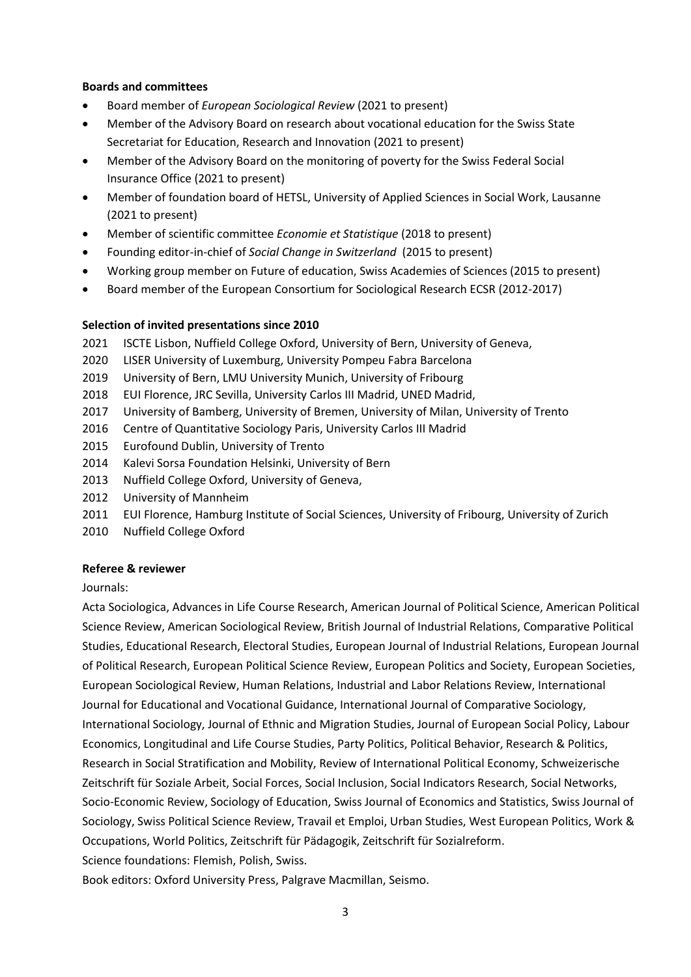## **Boards and committees**

- Board member of *European Sociological Review* (2021 to present)
- Member of the Advisory Board on research about vocational education for the Swiss State Secretariat for Education, Research and Innovation (2021 to present)
- Member of the Advisory Board on the monitoring of poverty for the Swiss Federal Social Insurance Office (2021 to present)
- Member of foundation board of HETSL, University of Applied Sciences in Social Work, Lausanne (2021 to present)
- Member of scientific committee *Economie et Statistique* (2018 to present)
- Founding editor-in-chief of *Social Change in Switzerland* (2015 to present)
- Working group member on Future of education, Swiss Academies of Sciences (2015 to present)
- Board member of the European Consortium for Sociological Research ECSR (2012-2017)

### **Selection of invited presentations since 2010**

- 2021 ISCTE Lisbon, Nuffield College Oxford, University of Bern, University of Geneva,
- 2020 LISER University of Luxemburg, University Pompeu Fabra Barcelona
- 2019 University of Bern, LMU University Munich, University of Fribourg
- 2018 EUI Florence, JRC Sevilla, University Carlos III Madrid, UNED Madrid,
- 2017 University of Bamberg, University of Bremen, University of Milan, University of Trento
- 2016 Centre of Quantitative Sociology Paris, University Carlos III Madrid
- 2015 Eurofound Dublin, University of Trento
- 2014 Kalevi Sorsa Foundation Helsinki, University of Bern
- 2013 Nuffield College Oxford, University of Geneva,
- 2012 University of Mannheim
- 2011 EUI Florence, Hamburg Institute of Social Sciences, University of Fribourg, University of Zurich
- 2010 Nuffield College Oxford

### **Referee & reviewer**

### Journals:

Acta Sociologica, Advances in Life Course Research, American Journal of Political Science, American Political Science Review, American Sociological Review, British Journal of Industrial Relations, Comparative Political Studies, Educational Research, Electoral Studies, European Journal of Industrial Relations, European Journal of Political Research, European Political Science Review, European Politics and Society, European Societies, European Sociological Review, Human Relations, Industrial and Labor Relations Review, International Journal for Educational and Vocational Guidance, International Journal of Comparative Sociology, International Sociology, Journal of Ethnic and Migration Studies, Journal of European Social Policy, Labour Economics, Longitudinal and Life Course Studies, Party Politics, Political Behavior, Research & Politics, Research in Social Stratification and Mobility, Review of International Political Economy, Schweizerische Zeitschrift für Soziale Arbeit, Social Forces, Social Inclusion, Social Indicators Research, Social Networks, Socio-Economic Review, Sociology of Education, Swiss Journal of Economics and Statistics, Swiss Journal of Sociology, Swiss Political Science Review, Travail et Emploi, Urban Studies, West European Politics, Work & Occupations, World Politics, Zeitschrift für Pädagogik, Zeitschrift für Sozialreform. Science foundations: Flemish, Polish, Swiss.

Book editors: Oxford University Press, Palgrave Macmillan, Seismo.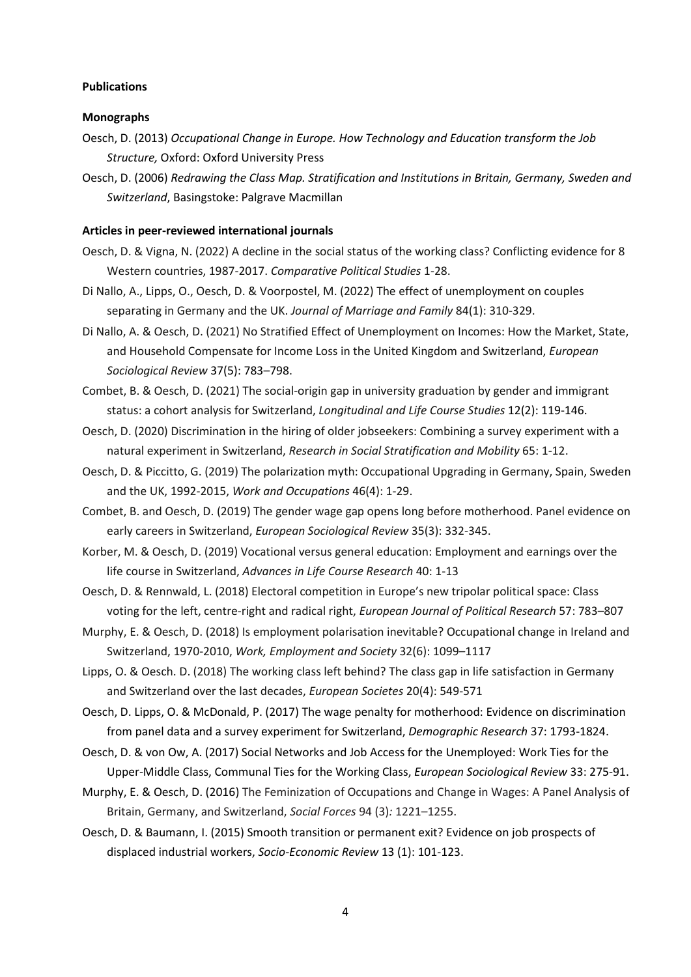#### **Publications**

#### **Monographs**

- Oesch, D. (2013) *Occupational Change in Europe. How Technology and Education transform the Job Structure,* Oxford: Oxford University Press
- Oesch, D. (2006) *Redrawing the Class Map. Stratification and Institutions in Britain, Germany, Sweden and Switzerland*, Basingstoke: Palgrave Macmillan

#### **Articles in peer-reviewed international journals**

- Oesch, D. & Vigna, N. (2022) A decline in the social status of the working class? Conflicting evidence for 8 Western countries, 1987-2017. *Comparative Political Studies* 1-28.
- Di Nallo, A., Lipps, O., Oesch, D. & Voorpostel, M. (2022) The effect of unemployment on couples separating in Germany and the UK. *Journal of Marriage and Family* 84(1): 310-329.
- Di Nallo, A. & Oesch, D. (2021) No Stratified Effect of Unemployment on Incomes: How the Market, State, and Household Compensate for Income Loss in the United Kingdom and Switzerland, *European Sociological Review* 37(5): 783–798.
- Combet, B. & Oesch, D. (2021) The social-origin gap in university graduation by gender and immigrant status: a cohort analysis for Switzerland, *Longitudinal and Life Course Studies* 12(2): 119-146.
- Oesch, D. (2020) Discrimination in the hiring of older jobseekers: Combining a survey experiment with a natural experiment in Switzerland, *Research in Social Stratification and Mobility* 65: 1-12.
- Oesch, D. & Piccitto, G. (2019) The polarization myth: Occupational Upgrading in Germany, Spain, Sweden and the UK, 1992-2015, *Work and Occupations* 46(4): 1-29.
- Combet, B. and Oesch, D. (2019) The gender wage gap opens long before motherhood. Panel evidence on early careers in Switzerland, *European Sociological Review* 35(3): 332-345.
- Korber, M. & Oesch, D. (2019) Vocational versus general education: Employment and earnings over the life course in Switzerland, *Advances in Life Course Research* 40: 1-13
- Oesch, D. & Rennwald, L. (2018) Electoral competition in Europe's new tripolar political space: Class voting for the left, centre-right and radical right, *European Journal of Political Research* 57: 783–807
- Murphy, E. & Oesch, D. (2018) Is employment polarisation inevitable? Occupational change in Ireland and Switzerland, 1970-2010, *Work, Employment and Society* 32(6): 1099–1117
- Lipps, O. & Oesch. D. (2018) The working class left behind? The class gap in life satisfaction in Germany and Switzerland over the last decades, *European Societes* 20(4): 549-571
- Oesch, D. Lipps, O. & McDonald, P. (2017) The wage penalty for motherhood: Evidence on discrimination from panel data and a survey experiment for Switzerland, *Demographic Research* 37: 1793-1824.
- Oesch, D. & von Ow, A. (2017) Social Networks and Job Access for the Unemployed: Work Ties for the Upper-Middle Class, Communal Ties for the Working Class, *European Sociological Review* 33: 275-91.
- Murphy, E. & Oesch, D. (2016) The Feminization of Occupations and Change in Wages: A Panel Analysis of Britain, Germany, and Switzerland, *Social Forces* 94 (3)*:* 1221–1255.
- Oesch, D. & Baumann, I. (2015) Smooth transition or permanent exit? Evidence on job prospects of displaced industrial workers, *Socio-Economic Review* 13 (1): 101-123.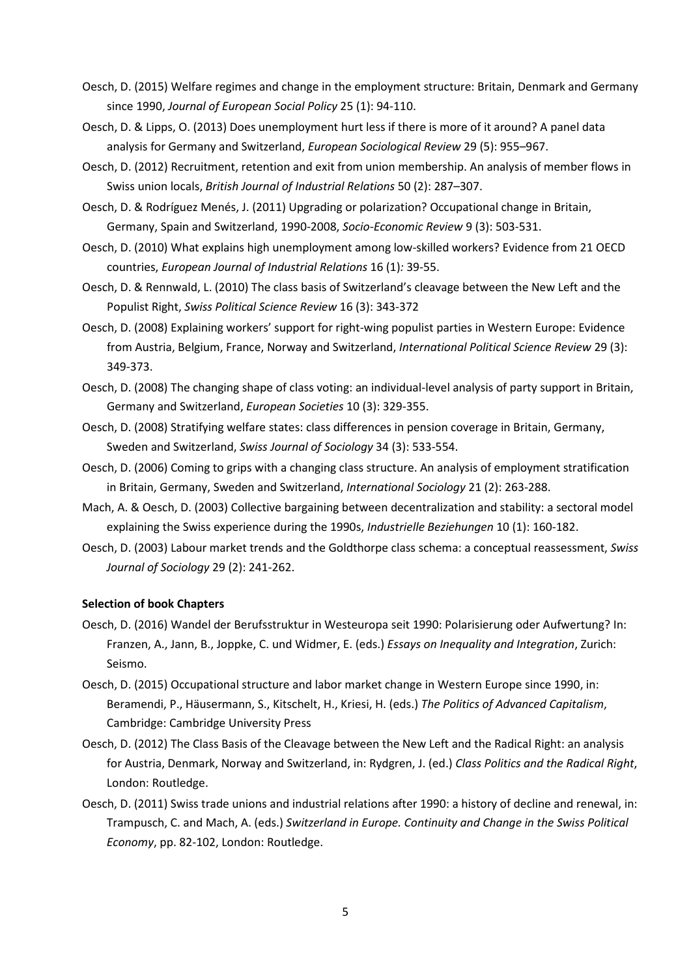- Oesch, D. (2015) Welfare regimes and change in the employment structure: Britain, Denmark and Germany since 1990, *Journal of European Social Policy* 25 (1): 94-110.
- Oesch, D. & Lipps, O. (2013) Does unemployment hurt less if there is more of it around? A panel data analysis for Germany and Switzerland, *European Sociological Review* 29 (5): 955–967.
- Oesch, D. (2012) Recruitment, retention and exit from union membership. An analysis of member flows in Swiss union locals, *British Journal of Industrial Relations* 50 (2): 287–307.
- Oesch, D. & Rodríguez Menés, J. (2011) Upgrading or polarization? Occupational change in Britain, Germany, Spain and Switzerland, 1990-2008, *Socio-Economic Review* 9 (3): 503-531.
- Oesch, D. (2010) What explains high unemployment among low-skilled workers? Evidence from 21 OECD countries, *European Journal of Industrial Relations* 16 (1)*:* 39-55.
- Oesch, D. & Rennwald, L. (2010) The class basis of Switzerland's cleavage between the New Left and the Populist Right, *Swiss Political Science Review* 16 (3): 343-372
- Oesch, D. (2008) Explaining workers' support for right-wing populist parties in Western Europe: Evidence from Austria, Belgium, France, Norway and Switzerland, *International Political Science Review* 29 (3): 349-373.
- Oesch, D. (2008) The changing shape of class voting: an individual-level analysis of party support in Britain, Germany and Switzerland, *European Societies* 10 (3): 329-355.
- Oesch, D. (2008) Stratifying welfare states: class differences in pension coverage in Britain, Germany, Sweden and Switzerland, *Swiss Journal of Sociology* 34 (3): 533-554.
- Oesch, D. (2006) Coming to grips with a changing class structure. An analysis of employment stratification in Britain, Germany, Sweden and Switzerland, *International Sociology* 21 (2): 263-288.
- Mach, A. & Oesch, D. (2003) Collective bargaining between decentralization and stability: a sectoral model explaining the Swiss experience during the 1990s, *Industrielle Beziehungen* 10 (1): 160-182.
- Oesch, D. (2003) Labour market trends and the Goldthorpe class schema: a conceptual reassessment, *Swiss Journal of Sociology* 29 (2): 241-262.

#### **Selection of book Chapters**

- Oesch, D. (2016) Wandel der Berufsstruktur in Westeuropa seit 1990: Polarisierung oder Aufwertung? In: Franzen, A., Jann, B., Joppke, C. und Widmer, E. (eds.) *Essays on Inequality and Integration*, Zurich: Seismo.
- Oesch, D. (2015) Occupational structure and labor market change in Western Europe since 1990, in: Beramendi, P., Häusermann, S., Kitschelt, H., Kriesi, H. (eds.) *The Politics of Advanced Capitalism*, Cambridge: Cambridge University Press
- Oesch, D. (2012) The Class Basis of the Cleavage between the New Left and the Radical Right: an analysis for Austria, Denmark, Norway and Switzerland, in: Rydgren, J. (ed.) *Class Politics and the Radical Right*, London: Routledge.
- Oesch, D. (2011) Swiss trade unions and industrial relations after 1990: a history of decline and renewal, in: Trampusch, C. and Mach, A. (eds.) *Switzerland in Europe. Continuity and Change in the Swiss Political Economy*, pp. 82-102, London: Routledge.